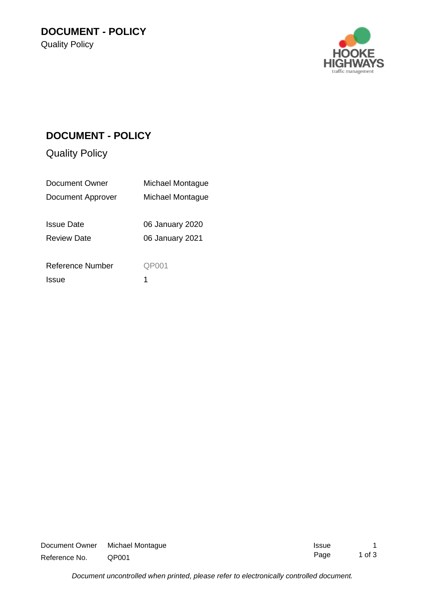

## **DOCUMENT - POLICY**

Quality Policy

| Document Owner     | Michael Montague |
|--------------------|------------------|
| Document Approver  | Michael Montague |
|                    |                  |
| <b>Issue Date</b>  | 06 January 2020  |
| <b>Review Date</b> | 06 January 2021  |
|                    |                  |
| Reference Number   | QP001            |
| <b>Issue</b>       |                  |

| Document Owner | Michael Montague  | <b>Issue</b> |          |
|----------------|-------------------|--------------|----------|
| Reference No.  | QP <sub>001</sub> | Page         | 1 of $3$ |

*Document uncontrolled when printed, please refer to electronically controlled document.*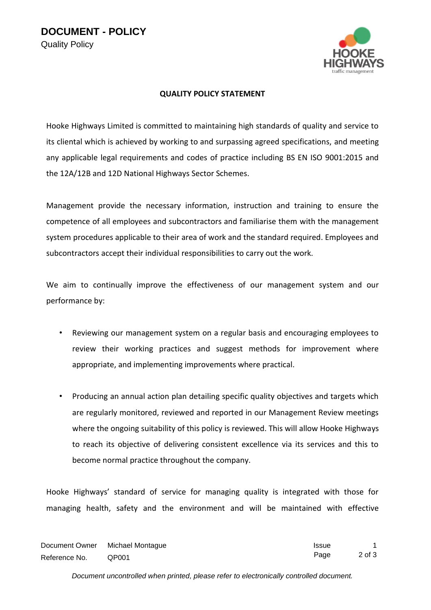

## **QUALITY POLICY STATEMENT**

Hooke Highways Limited is committed to maintaining high standards of quality and service to its cliental which is achieved by working to and surpassing agreed specifications, and meeting any applicable legal requirements and codes of practice including BS EN ISO 9001:2015 and the 12A/12B and 12D National Highways Sector Schemes.

Management provide the necessary information, instruction and training to ensure the competence of all employees and subcontractors and familiarise them with the management system procedures applicable to their area of work and the standard required. Employees and subcontractors accept their individual responsibilities to carry out the work.

We aim to continually improve the effectiveness of our management system and our performance by:

- Reviewing our management system on a regular basis and encouraging employees to review their working practices and suggest methods for improvement where appropriate, and implementing improvements where practical.
- Producing an annual action plan detailing specific quality objectives and targets which are regularly monitored, reviewed and reported in our Management Review meetings where the ongoing suitability of this policy is reviewed. This will allow Hooke Highways to reach its objective of delivering consistent excellence via its services and this to become normal practice throughout the company.

Hooke Highways' standard of service for managing quality is integrated with those for managing health, safety and the environment and will be maintained with effective

| Document Owner | Michael Montague  | <b>Issue</b> |        |
|----------------|-------------------|--------------|--------|
| Reference No.  | QP <sub>001</sub> | Page         | 2 of 3 |

*Document uncontrolled when printed, please refer to electronically controlled document.*